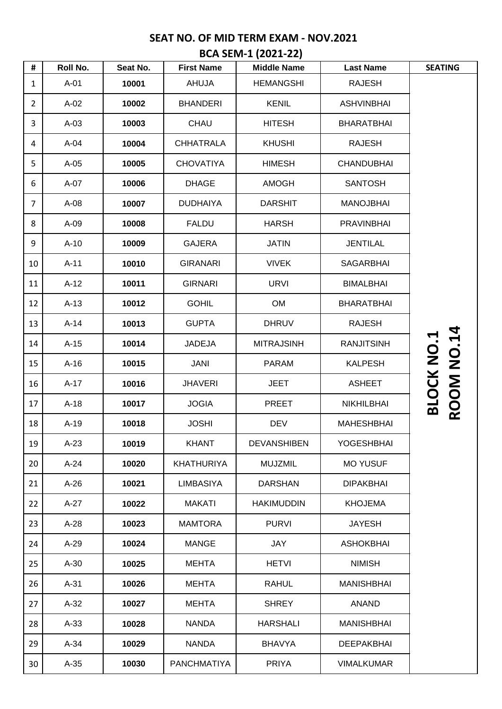| #              | Roll No. | Seat No. | <b>First Name</b>  | <b>Middle Name</b> | <b>Last Name</b>  | <b>SEATING</b>    |
|----------------|----------|----------|--------------------|--------------------|-------------------|-------------------|
| $\mathbf{1}$   | $A-01$   | 10001    | AHUJA              | <b>HEMANGSHI</b>   | <b>RAJESH</b>     |                   |
| $\overline{2}$ | $A-02$   | 10002    | <b>BHANDERI</b>    | <b>KENIL</b>       | <b>ASHVINBHAI</b> |                   |
| 3              | $A-03$   | 10003    | <b>CHAU</b>        | <b>HITESH</b>      | <b>BHARATBHAI</b> |                   |
| 4              | $A-04$   | 10004    | <b>CHHATRALA</b>   | <b>KHUSHI</b>      | <b>RAJESH</b>     |                   |
| 5              | $A-05$   | 10005    | <b>CHOVATIYA</b>   | <b>HIMESH</b>      | <b>CHANDUBHAI</b> |                   |
| 6              | $A-07$   | 10006    | <b>DHAGE</b>       | AMOGH              | <b>SANTOSH</b>    |                   |
| $\overline{7}$ | $A-08$   | 10007    | <b>DUDHAIYA</b>    | <b>DARSHIT</b>     | <b>MANOJBHAI</b>  |                   |
| 8              | $A-09$   | 10008    | <b>FALDU</b>       | <b>HARSH</b>       | <b>PRAVINBHAI</b> |                   |
| 9              | $A-10$   | 10009    | <b>GAJERA</b>      | <b>JATIN</b>       | <b>JENTILAL</b>   |                   |
| 10             | $A-11$   | 10010    | <b>GIRANARI</b>    | <b>VIVEK</b>       | <b>SAGARBHAI</b>  |                   |
| 11             | $A-12$   | 10011    | <b>GIRNARI</b>     | <b>URVI</b>        | <b>BIMALBHAI</b>  |                   |
| 12             | $A-13$   | 10012    | <b>GOHIL</b>       | <b>OM</b>          | <b>BHARATBHAI</b> |                   |
| 13             | $A-14$   | 10013    | <b>GUPTA</b>       | <b>DHRUV</b>       | <b>RAJESH</b>     |                   |
| 14             | $A-15$   | 10014    | <b>JADEJA</b>      | <b>MITRAJSINH</b>  | <b>RANJITSINH</b> | <b>ROOM NO.14</b> |
| 15             | $A-16$   | 10015    | <b>JANI</b>        | <b>PARAM</b>       | <b>KALPESH</b>    |                   |
| 16             | $A-17$   | 10016    | <b>JHAVERI</b>     | <b>JEET</b>        | <b>ASHEET</b>     |                   |
| 17             | $A-18$   | 10017    | <b>JOGIA</b>       | <b>PREET</b>       | <b>NIKHILBHAI</b> | <b>BLOCK NO.1</b> |
| 18             | $A-19$   | 10018    | <b>JOSHI</b>       | <b>DEV</b>         | <b>MAHESHBHAI</b> |                   |
| 19             | $A-23$   | 10019    | <b>KHANT</b>       | <b>DEVANSHIBEN</b> | <b>YOGESHBHAI</b> |                   |
| 20             | $A-24$   | 10020    | <b>KHATHURIYA</b>  | <b>MUJZMIL</b>     | <b>MO YUSUF</b>   |                   |
| 21             | $A-26$   | 10021    | <b>LIMBASIYA</b>   | <b>DARSHAN</b>     | <b>DIPAKBHAI</b>  |                   |
| 22             | $A-27$   | 10022    | MAKATI             | <b>HAKIMUDDIN</b>  | <b>KHOJEMA</b>    |                   |
| 23             | $A-28$   | 10023    | <b>MAMTORA</b>     | <b>PURVI</b>       | <b>JAYESH</b>     |                   |
| 24             | $A-29$   | 10024    | <b>MANGE</b>       | JAY                | <b>ASHOKBHAI</b>  |                   |
| 25             | $A-30$   | 10025    | <b>MEHTA</b>       | <b>HETVI</b>       | <b>NIMISH</b>     |                   |
| 26             | $A-31$   | 10026    | <b>MEHTA</b>       | <b>RAHUL</b>       | MANISHBHAI        |                   |
| 27             | $A-32$   | 10027    | <b>MEHTA</b>       | <b>SHREY</b>       | <b>ANAND</b>      |                   |
| 28             | $A-33$   | 10028    | <b>NANDA</b>       | <b>HARSHALI</b>    | MANISHBHAI        |                   |
| 29             | $A-34$   | 10029    | <b>NANDA</b>       | <b>BHAVYA</b>      | <b>DEEPAKBHAI</b> |                   |
| 30             | $A-35$   | 10030    | <b>PANCHMATIYA</b> | <b>PRIYA</b>       | <b>VIMALKUMAR</b> |                   |

**BCA SEM-1 (2021-22)**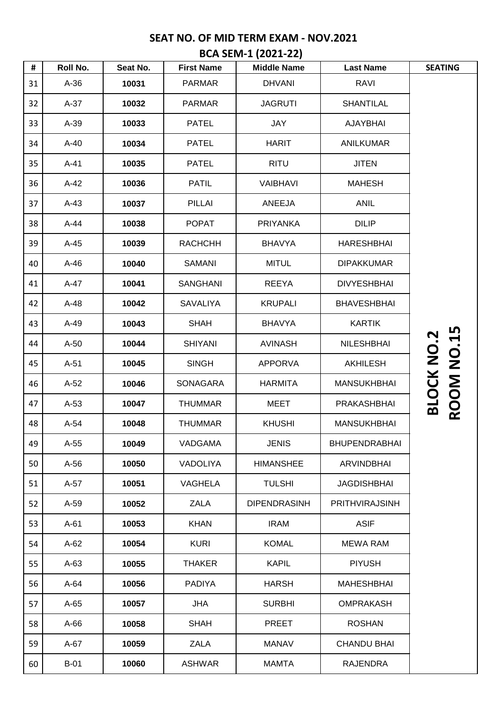|  | <b>BCA SEM-1 (2021-22)</b> |  |
|--|----------------------------|--|
|  |                            |  |

| #  | Roll No. | Seat No. | <b>First Name</b> | <b>Middle Name</b>  | <b>Last Name</b>      | <b>SEATING</b>    |
|----|----------|----------|-------------------|---------------------|-----------------------|-------------------|
| 31 | $A-36$   | 10031    | <b>PARMAR</b>     | <b>DHVANI</b>       | <b>RAVI</b>           |                   |
| 32 | $A-37$   | 10032    | <b>PARMAR</b>     | <b>JAGRUTI</b>      | <b>SHANTILAL</b>      |                   |
| 33 | $A-39$   | 10033    | <b>PATEL</b>      | <b>JAY</b>          | AJAYBHAI              |                   |
| 34 | $A-40$   | 10034    | <b>PATEL</b>      | <b>HARIT</b>        | <b>ANILKUMAR</b>      |                   |
| 35 | $A-41$   | 10035    | <b>PATEL</b>      | <b>RITU</b>         | <b>JITEN</b>          |                   |
| 36 | $A-42$   | 10036    | <b>PATIL</b>      | <b>VAIBHAVI</b>     | <b>MAHESH</b>         |                   |
| 37 | $A-43$   | 10037    | <b>PILLAI</b>     | ANEEJA              | <b>ANIL</b>           |                   |
| 38 | A-44     | 10038    | <b>POPAT</b>      | <b>PRIYANKA</b>     | <b>DILIP</b>          |                   |
| 39 | $A-45$   | 10039    | <b>RACHCHH</b>    | <b>BHAVYA</b>       | <b>HARESHBHAI</b>     |                   |
| 40 | $A-46$   | 10040    | SAMANI            | <b>MITUL</b>        | <b>DIPAKKUMAR</b>     |                   |
| 41 | A-47     | 10041    | <b>SANGHANI</b>   | <b>REEYA</b>        | <b>DIVYESHBHAI</b>    |                   |
| 42 | $A-48$   | 10042    | SAVALIYA          | <b>KRUPALI</b>      | <b>BHAVESHBHAI</b>    |                   |
| 43 | $A-49$   | 10043    | <b>SHAH</b>       | <b>BHAVYA</b>       | <b>KARTIK</b>         |                   |
| 44 | $A-50$   | 10044    | <b>SHIYANI</b>    | <b>AVINASH</b>      | <b>NILESHBHAI</b>     | <b>NO.15</b>      |
| 45 | $A-51$   | 10045    | <b>SINGH</b>      | <b>APPORVA</b>      | <b>AKHILESH</b>       | <b>BLOCK NO.2</b> |
| 46 | $A-52$   | 10046    | <b>SONAGARA</b>   | <b>HARMITA</b>      | <b>MANSUKHBHAI</b>    |                   |
| 47 | $A-53$   | 10047    | <b>THUMMAR</b>    | <b>MEET</b>         | PRAKASHBHAI           | <b>ROOM</b>       |
| 48 | $A-54$   | 10048    | <b>THUMMAR</b>    | <b>KHUSHI</b>       | <b>MANSUKHBHAI</b>    |                   |
| 49 | A-55     | 10049    | VADGAMA           | <b>JENIS</b>        | <b>BHUPENDRABHAI</b>  |                   |
| 50 | $A-56$   | 10050    | <b>VADOLIYA</b>   | <b>HIMANSHEE</b>    | <b>ARVINDBHAI</b>     |                   |
| 51 | A-57     | 10051    | <b>VAGHELA</b>    | <b>TULSHI</b>       | <b>JAGDISHBHAI</b>    |                   |
| 52 | A-59     | 10052    | <b>ZALA</b>       | <b>DIPENDRASINH</b> | <b>PRITHVIRAJSINH</b> |                   |
| 53 | $A-61$   | 10053    | <b>KHAN</b>       | <b>IRAM</b>         | <b>ASIF</b>           |                   |
| 54 | $A-62$   | 10054    | <b>KURI</b>       | <b>KOMAL</b>        | <b>MEWA RAM</b>       |                   |
| 55 | $A-63$   | 10055    | <b>THAKER</b>     | <b>KAPIL</b>        | <b>PIYUSH</b>         |                   |
| 56 | $A-64$   | 10056    | <b>PADIYA</b>     | <b>HARSH</b>        | <b>MAHESHBHAI</b>     |                   |
| 57 | $A-65$   | 10057    | <b>JHA</b>        | <b>SURBHI</b>       | <b>OMPRAKASH</b>      |                   |
| 58 | $A-66$   | 10058    | <b>SHAH</b>       | <b>PREET</b>        | <b>ROSHAN</b>         |                   |
| 59 | $A-67$   | 10059    | <b>ZALA</b>       | <b>MANAV</b>        | <b>CHANDU BHAI</b>    |                   |
| 60 | $B-01$   | 10060    | <b>ASHWAR</b>     | <b>MAMTA</b>        | <b>RAJENDRA</b>       |                   |
|    |          |          |                   |                     |                       |                   |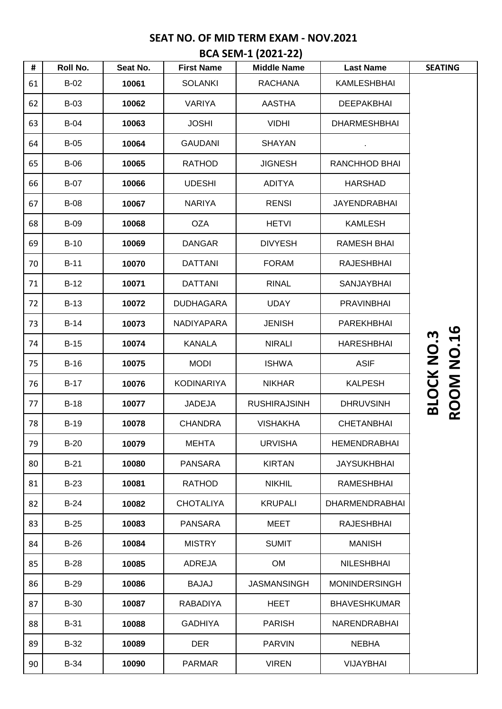| BCA SEM-1 (2021-22) |  |
|---------------------|--|
|---------------------|--|

| #  | Roll No.    | Seat No. | <b>First Name</b> | <b>Middle Name</b>  | <b>Last Name</b>      | <b>SEATING</b>                  |
|----|-------------|----------|-------------------|---------------------|-----------------------|---------------------------------|
| 61 | $B-02$      | 10061    | <b>SOLANKI</b>    | <b>RACHANA</b>      | <b>KAMLESHBHAI</b>    |                                 |
| 62 | $B-03$      | 10062    | <b>VARIYA</b>     | <b>AASTHA</b>       | <b>DEEPAKBHAI</b>     |                                 |
| 63 | $B-04$      | 10063    | <b>JOSHI</b>      | <b>VIDHI</b>        | <b>DHARMESHBHAI</b>   |                                 |
| 64 | $B-05$      | 10064    | <b>GAUDANI</b>    | <b>SHAYAN</b>       |                       |                                 |
| 65 | $B-06$      | 10065    | <b>RATHOD</b>     | <b>JIGNESH</b>      | RANCHHOD BHAI         |                                 |
| 66 | <b>B-07</b> | 10066    | <b>UDESHI</b>     | <b>ADITYA</b>       | <b>HARSHAD</b>        |                                 |
| 67 | <b>B-08</b> | 10067    | <b>NARIYA</b>     | <b>RENSI</b>        | <b>JAYENDRABHAI</b>   |                                 |
| 68 | <b>B-09</b> | 10068    | <b>OZA</b>        | <b>HETVI</b>        | <b>KAMLESH</b>        |                                 |
| 69 | $B-10$      | 10069    | <b>DANGAR</b>     | <b>DIVYESH</b>      | <b>RAMESH BHAI</b>    |                                 |
| 70 | $B-11$      | 10070    | <b>DATTANI</b>    | <b>FORAM</b>        | <b>RAJESHBHAI</b>     |                                 |
| 71 | $B-12$      | 10071    | <b>DATTANI</b>    | <b>RINAL</b>        | <b>SANJAYBHAI</b>     |                                 |
| 72 | $B-13$      | 10072    | <b>DUDHAGARA</b>  | <b>UDAY</b>         | <b>PRAVINBHAI</b>     |                                 |
| 73 | $B-14$      | 10073    | NADIYAPARA        | <b>JENISH</b>       | <b>PAREKHBHAI</b>     |                                 |
| 74 | $B-15$      | 10074    | <b>KANALA</b>     | <b>NIRALI</b>       | <b>HARESHBHAI</b>     |                                 |
| 75 | $B-16$      | 10075    | <b>MODI</b>       | <b>ISHWA</b>        | <b>ASIF</b>           | ROOM NO.16<br><b>BLOCK NO.3</b> |
| 76 | $B-17$      | 10076    | <b>KODINARIYA</b> | <b>NIKHAR</b>       | <b>KALPESH</b>        |                                 |
| 77 | $B-18$      | 10077    | <b>JADEJA</b>     | <b>RUSHIRAJSINH</b> | <b>DHRUVSINH</b>      |                                 |
| 78 | $B-19$      | 10078    | <b>CHANDRA</b>    | <b>VISHAKHA</b>     | <b>CHETANBHAI</b>     |                                 |
| 79 | $B-20$      | 10079    | <b>MEHTA</b>      | <b>URVISHA</b>      | <b>HEMENDRABHAI</b>   |                                 |
| 80 | $B-21$      | 10080    | <b>PANSARA</b>    | <b>KIRTAN</b>       | <b>JAYSUKHBHAI</b>    |                                 |
| 81 | $B-23$      | 10081    | <b>RATHOD</b>     | <b>NIKHIL</b>       | <b>RAMESHBHAI</b>     |                                 |
| 82 | $B-24$      | 10082    | <b>CHOTALIYA</b>  | <b>KRUPALI</b>      | <b>DHARMENDRABHAI</b> |                                 |
| 83 | $B-25$      | 10083    | <b>PANSARA</b>    | MEET                | <b>RAJESHBHAI</b>     |                                 |
| 84 | $B-26$      | 10084    | <b>MISTRY</b>     | <b>SUMIT</b>        | <b>MANISH</b>         |                                 |
| 85 | $B-28$      | 10085    | ADREJA            | <b>OM</b>           | <b>NILESHBHAI</b>     |                                 |
| 86 | $B-29$      | 10086    | <b>BAJAJ</b>      | <b>JASMANSINGH</b>  | <b>MONINDERSINGH</b>  |                                 |
| 87 | $B-30$      | 10087    | <b>RABADIYA</b>   | <b>HEET</b>         | <b>BHAVESHKUMAR</b>   |                                 |
| 88 | <b>B-31</b> | 10088    | <b>GADHIYA</b>    | <b>PARISH</b>       | NARENDRABHAI          |                                 |
| 89 | $B-32$      | 10089    | <b>DER</b>        | <b>PARVIN</b>       | <b>NEBHA</b>          |                                 |
| 90 | <b>B-34</b> | 10090    | <b>PARMAR</b>     | <b>VIREN</b>        | <b>VIJAYBHAI</b>      |                                 |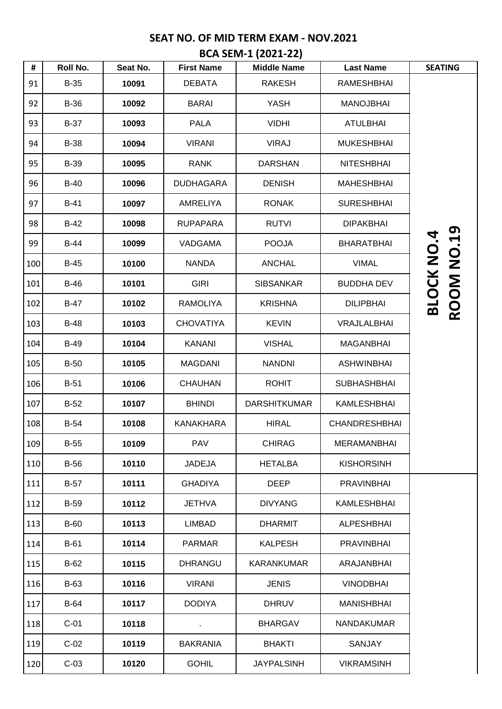| <b>BCA SEM-1 (2021-22)</b> |  |  |
|----------------------------|--|--|
|                            |  |  |

| #   | Roll No.    | Seat No. | <b>First Name</b> | <b>Middle Name</b>  | <b>Last Name</b>     | <b>SEATING</b>                         |
|-----|-------------|----------|-------------------|---------------------|----------------------|----------------------------------------|
| 91  | $B-35$      | 10091    | <b>DEBATA</b>     | <b>RAKESH</b>       | <b>RAMESHBHAI</b>    |                                        |
| 92  | <b>B-36</b> | 10092    | <b>BARAI</b>      | <b>YASH</b>         | <b>MANOJBHAI</b>     |                                        |
| 93  | $B-37$      | 10093    | <b>PALA</b>       | <b>VIDHI</b>        | <b>ATULBHAI</b>      |                                        |
| 94  | <b>B-38</b> | 10094    | <b>VIRANI</b>     | <b>VIRAJ</b>        | <b>MUKESHBHAI</b>    |                                        |
| 95  | <b>B-39</b> | 10095    | <b>RANK</b>       | <b>DARSHAN</b>      | <b>NITESHBHAI</b>    |                                        |
| 96  | $B-40$      | 10096    | <b>DUDHAGARA</b>  | <b>DENISH</b>       | <b>MAHESHBHAI</b>    |                                        |
| 97  | <b>B-41</b> | 10097    | <b>AMRELIYA</b>   | <b>RONAK</b>        | <b>SURESHBHAI</b>    |                                        |
| 98  | $B-42$      | 10098    | <b>RUPAPARA</b>   | <b>RUTVI</b>        | <b>DIPAKBHAI</b>     |                                        |
| 99  | <b>B-44</b> | 10099    | <b>VADGAMA</b>    | <b>POOJA</b>        | <b>BHARATBHAI</b>    |                                        |
| 100 | $B-45$      | 10100    | <b>NANDA</b>      | <b>ANCHAL</b>       | <b>VIMAL</b>         |                                        |
| 101 | $B-46$      | 10101    | <b>GIRI</b>       | <b>SIBSANKAR</b>    | <b>BUDDHA DEV</b>    |                                        |
| 102 | <b>B-47</b> | 10102    | <b>RAMOLIYA</b>   | <b>KRISHNA</b>      | <b>DILIPBHAI</b>     | <b>ROOM NO.19</b><br><b>BLOCK NO.4</b> |
| 103 | <b>B-48</b> | 10103    | <b>CHOVATIYA</b>  | <b>KEVIN</b>        | VRAJLALBHAI          |                                        |
| 104 | <b>B-49</b> | 10104    | <b>KANANI</b>     | <b>VISHAL</b>       | <b>MAGANBHAI</b>     |                                        |
| 105 | <b>B-50</b> | 10105    | <b>MAGDANI</b>    | <b>NANDNI</b>       | <b>ASHWINBHAI</b>    |                                        |
| 106 | $B-51$      | 10106    | <b>CHAUHAN</b>    | <b>ROHIT</b>        | <b>SUBHASHBHAI</b>   |                                        |
| 107 | $B-52$      | 10107    | <b>BHINDI</b>     | <b>DARSHITKUMAR</b> | <b>KAMLESHBHAI</b>   |                                        |
| 108 | <b>B-54</b> | 10108    | <b>KANAKHARA</b>  | <b>HIRAL</b>        | <b>CHANDRESHBHAI</b> |                                        |
| 109 | $B-55$      | 10109    | <b>PAV</b>        | <b>CHIRAG</b>       | <b>MERAMANBHAI</b>   |                                        |
| 110 | $B-56$      | 10110    | <b>JADEJA</b>     | <b>HETALBA</b>      | <b>KISHORSINH</b>    |                                        |
| 111 | $B-57$      | 10111    | <b>GHADIYA</b>    | <b>DEEP</b>         | <b>PRAVINBHAI</b>    |                                        |
| 112 | <b>B-59</b> | 10112    | <b>JETHVA</b>     | <b>DIVYANG</b>      | KAMLESHBHAI          |                                        |
| 113 | <b>B-60</b> | 10113    | <b>LIMBAD</b>     | <b>DHARMIT</b>      | <b>ALPESHBHAI</b>    |                                        |
| 114 | $B-61$      | 10114    | <b>PARMAR</b>     | <b>KALPESH</b>      | <b>PRAVINBHAI</b>    |                                        |
| 115 | $B-62$      | 10115    | <b>DHRANGU</b>    | <b>KARANKUMAR</b>   | ARAJANBHAI           |                                        |
| 116 | <b>B-63</b> | 10116    | <b>VIRANI</b>     | <b>JENIS</b>        | <b>VINODBHAI</b>     |                                        |
| 117 | <b>B-64</b> | 10117    | <b>DODIYA</b>     | <b>DHRUV</b>        | <b>MANISHBHAI</b>    |                                        |
| 118 | $C-01$      | 10118    |                   | <b>BHARGAV</b>      | <b>NANDAKUMAR</b>    |                                        |
| 119 | $C-02$      | 10119    | <b>BAKRANIA</b>   | <b>BHAKTI</b>       | <b>SANJAY</b>        |                                        |
| 120 | $C-03$      | 10120    | <b>GOHIL</b>      | <b>JAYPALSINH</b>   | <b>VIKRAMSINH</b>    |                                        |